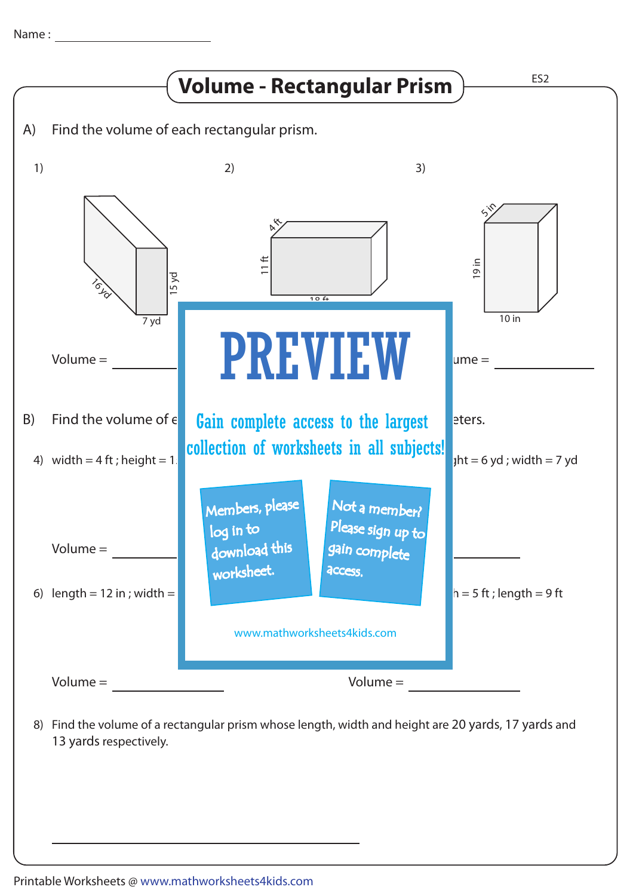

Find the volume of a rectangular prism whose length, width and height are 20 yards, 17 yards and 8) 13 yards respectively.